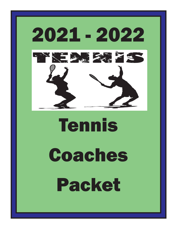

# Tennis Coaches Packet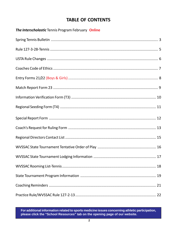## **TABLE OF CONTENTS**

#### The Interscholastic Tennis Program February Online

For additional information related to sports medicine issues concerning athletic participation, please click the "School Resources" tab on the opening page of our website.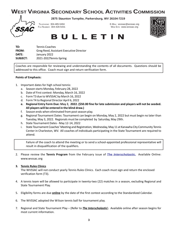## **WEST VIRGINIA SECONDARY SCHOOL ACTIVITIES COMMISSION**

**2875 Staunton Turnpike, Parkersburg, WV 26104-7219**

TELEPHONE: 304-485-5494 E-MAIL: wvssac@wvssac.org WEB SITE: www.wvssac.org



## R I L L E T

| TO:             | Tennis Coaches                          |
|-----------------|-----------------------------------------|
| FROM:           | Greg Reed, Assistant Executive Director |
| DATE:           | January 2022                            |
| <b>SUBJECT:</b> | 2021-2022Tennis-Spring                  |
|                 |                                         |

Coaches are responsible for reviewing and understanding the contents of all documents. Questions should be addressed to this office. Coach must sign and return verification form.

#### **Points of Emphasis:**

- 1. Important dates for high school tennis:
	- a. Season starts Monday, February 28, 2022
	- b. Date of First contest: Monday, March 16, 2022
	- c. Form T3 due to WVSSAC by March 16, 2022
	- d. Form T4 to Regional Director April 6, 2022
	- **e. Regional Entry Form Due: May 2, 2022. (\$50.00 fine for late submission and players will not be seeded. All players will be entered in the blind draw.)**
	- f. Season ends when eliminated from post season play.
	- g. Regional Tournament Dates: Tournament can begin on Monday, May 2, 2022 but must begin no later than Tuesday, May 3, 2022. Regionals must be completed by Saturday, May 29th.
	- h. State Tournament Dates May 12-14, 2022
	- i. State Tournament Coaches' Meeting and Registration, Wednesday, May 11 at Kanawha City Community Tennis Center in Charleston, WV. All coaches of individuals participating in the State Tournament are required to attend.

Failure of the coach to attend the meeting or to send a school-appointed professional representative will result in disqualification of the qualifiers.

2. Please review the **Tennis Program** from the February issue of *The Interscholastic.* Available Online: www.wvssac.org

#### **3. Tennis Rules Clinics**

The WVSSAC will not conduct yearly Tennis Rules Clinics. Each coach must sign and return the enclosed verification form (T3).

- 4. A tennis team will be allowed to participate in twenty-two (22) matches in a season, excluding Regional and State Tournament Play.
- 5. Eligibility forms are due **online** by the date of the first contest according to the Standardized Calendar.
- 6. The WVSSAC adopted the Wilson tennis ball for tournament play.
- 7. Regional and State Tournament Play (Refer to *The Interscholastic*). Available online after season begins for most current information.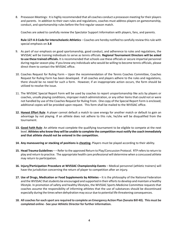8. Preseason Meetings: It is highly recommended that all coaches conduct a preseason meeting for their players and parents. In addition to their own rules and regulations, coaches must address players on gamesmanship, conduct, and sportsmanship rules before the first regular season match.

Coaches are asked to carefully review the Spectator Support Information with players, fans, and parents.

**Rule 127-4-3 Code for Interscholastic Athletics** – Coaches are hereby notified to carefully review this rule with special emphasis on **3.8**

- 9. As part of our emphasis on good sportsmanship, good conduct, and adherence to rules and regulations, the WVSSAC will be training individuals to serve as tennis officials. **Regional Tournament Directors will be asked to use these trained officials.** It is recommended that schools use these officials or secure impartial personnel during regular season play. If you know any individuals who would be willing to become tennis officials, please direct them to contact the WVSSAC office.
- 10. Coaches Request for Ruling Form Upon the recommendation of the Tennis Coaches Committee, Coaches Request for Ruling Form has been developed. If all coaches and players adhere to the rules and regulations, there should be no need for such a form. However, if an inappropriate action occurs, the form should be utilized to resolve the issue.
- 11. The WVSSAC Special Report Form will be used by coaches to report unsportsmanship like acts by players or coaches, unsafe playing conditions, improper match administration, or any other items that could not or were not handled by use of the Coaches Request for Ruling From. One copy of the Special Report Form is enclosed; additional copies will be provided upon request. This form shall be mailed to the WVSSAC office.
- **12. Honest Effort Rule**: A player cannot default a match to save energy for another match or default to gain an advantage by not playing. If an athlete does not adhere to this rule, he/she will be disqualified from the tournament.
- **13. Good Faith Rule**: An athlete must complete the qualifying tournament to be eligible to compete at the next level. **Athletes who know they will be unable to complete the competition must notify the coach immediately and that athlete should not be entered in the competition.**
- **14. Any maneuvering or stacking of positions is cheating.** Players must be played according to their ability.
- **15. Head Trauma Guidelines** – Refer to the approved Return to Play/Concussion Protocol. RTP refers to return to play and return to practice. The appropriate health care professional will determine when a concussed athlete may return to participation.
- **16. Injury/Participation Procedure at WVSSAC Championship Events** Medical personnel (athletic trainers) will have the jurisdiction concerning the return of player to competition after an injury.
- **17. Use of Drugs, Medication or Food Supplements by Athletes** It is the philosophy of the National Federation and the WVSSAC that students be encouraged and supported in their efforts to develop and maintain a healthy lifestyle. In promotion of safety and healthy lifestyles, the WVSSAC Sports Medicine Committee requests that coaches assume the responsibility of informing athletes that the use of substances should be discontinued especially during the times when dehydration may occur due to potential life threatening consequences.
- **18. All coaches for each sport are required to complete an Emergency Action Plan (Senate Bill 40). This must be completed online - See your Athletic Director for further information.**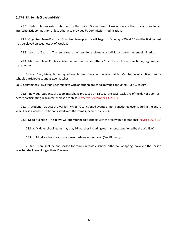#### **§127-3-28. Tennis (Boys and Girls).**

28.1. Rules: Tennis rules published by the United States Tennis Association are the official rules for all interscholastic competition unless otherwise provided by Commission modification.

28.2. Organized Team Practice: Organized team practice will begin on Monday of Week 35 and the first contest may be played on Wednesday of Week 37.

28.3. Length of Season: The tennis season will end for each team or individual at tournament elimination.

28.4. Maximum Team Contests: A tennis team will be permitted 22 matches exclusive of sectional, regional, and state contests.

28.4.a. Dual, triangular and quadrangular matches count as one match. Matches in which five or more schools participate count as two matches.

28.5. Scrimmages: Two tennis scrimmages with another high school may be conducted. (See Glossary.)

28.6. Individual students of a team must have practiced on **12** separate days, exclusive of the day of a contest, before participating in an interscholastic contest. (Effective September 13, 2021)

28.7. A student may accept awards in WVSSAC sanctioned events or non-sanctioned events during the entire year. These awards must be consistent with the items specified in §127-3-5.

28.8. Middle Schools: The above will apply for middle schools with the following adaptations: (Revised 2018-19)

28.8.a. Middle school teams may play 16 matches including tournaments sanctioned by the WVSSAC.

28.8.b. Middle school teams are permitted one scrimmage. (See Glossary.)

28.8.c. There shall be one season for tennis in middle school, either fall or spring; however, the season selected shall be no longer than 12 weeks.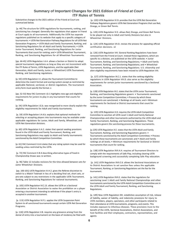#### **Summary of Important Changes for 2021 Edition of** *Friend at Court* **ITF Rules of Tennis**

Substantive changes to the 2021 edition of the Friend at Court are summarized below.

 [p. 44] The structure for USTA regulations for tournaments, ranking, and sanctioning has changed. Generally the regulations that appear in Friend at Court apply to all tournaments. Additionally the USTA has separate regulations published on its website that apply to a specific category of tournaments: • USTA Net Generation Pathway Regulations for all USTA Net Generation Programs; • USTA Adult and Family Tournament, Ranking, and Sanctioning Regulations for all Adult and Family Tournaments; • USTA Junior Tournament, Ranking, and Sanctioning Regulations for Junior Tournaments that count for ranking; and • USTA Wheelchair Tournament, Ranking, and Sanctioning Regulations for all Wheelchair Tournaments.

[pp. 44-45] USTA Regulation I.A.4. allows a Section or District to adopt special tournament regulations as long as they are not inconsistent with the ITF Rules of Tennis, USTA Regulations, and the applicable (Net Generation, Adult and Family, Junior, or Wheelchair) USTA Tournament, Ranking, and Sanctioning regulations.

[p. 50] USTA Regulation I.E. allows the Tournament Committee to determine the match format and scoring system except as restricted by applicable National, sectional, or district regulations. The tournament entry form must specify the format. x

[pp. 52-53] New FAC Comment I.G-1 highlights new age and eligibility requirements for juniors to play in any tournament that counts for ranking.

[p. 54] USTA Regulation I.G.b. was reorganized to more clearly explain the eligibility requirements for Adult and Family tournaments.

 [p. 59] USTA Regulation I.H.4.b. explains that optional methods for selecting or accepting players into tournaments may be available under applicable regulations for Junior, Adult and Family, Wheelchair, and USTA Net Generation divisions.

[p. 60] USTA Regulation II.A.2. states that special seeding provisions found in the USTA Adult and Family Tournament, Ranking, and Sanctioning Regulations may apply to Adult and Family tournaments sanctioned by the Adult Competition Committee.

[p. 61] FAC Comment II.A-6 states that any rating system may be used for seeding unless restricted by the USTA.

 [p. 72] FAC Comment II.B-4 describing alternative types of Feed-In Championship Draws was re-written.

[p. 96] Table 12 includes revisions for the time allowed between sets for some Wheelchair Divisions.

 [pp. 100-101] USTA Regulation III.H.2. gives the Referee discretion to switch to a Match Tiebreak in lieu of a deciding final set, short sets, or pro-sets subject to any restrictions in the applicable USTA Tournament, Ranking, and Sanctioning Regulations for national tournaments.

[p. 105] USTA Regulation IV.C.13. allows the USTA or a Sectional Association or District Association to waive the prohibition on a player entering a tournament intending to withdraw if the player's entry is accepted in another tournament.

 [p. 113] USTA Regulation IV.F.1. applies the USTA Suspension Point System to all sanctioned tournaments except certain USTA Net Generation Programs.

[p. 118] USTA Regulation V.B. requires any grievance arising from the denial of entry into a tournament on the basis of residency be filed with  [p. 120] USTA Regulation VI.D. provides that the USTA Net Generation Pathway Regulations govern USTA Net Generation Programs that use Red, Orange, or Green Ball Tennis.

[p. 120] USTA Regulation VI.E. allows Red, Orange, and Green Ball Tennis to be played not only in Adult and Family Divisions but also in Wheelchair Divisions.

[p. 124] USTA Regulation VII.D. revises the process for appealing official certification decisions. xii

[p. 126] USTA Regulation VIII. General Ranking Regulations have been removed from the Friend at Court. Instead these regulations, which are specific to a division, are published on the USTA website: • Junior Tournament, Ranking, and Sanctioning Regulations; • Adult and Family Tournament, Ranking, and Sanctioning Regulations; and • Wheelchair Tournament, Ranking, and Sanctioning Regulations. U.S. citizenship and alien eligibility requirements have been moved to USTA Regulation VIII.

 [p. 127] USTA Regulation IX.C.1. states that the ranking eligibility regulations in USTA Regulation VIII.D. also serve as the eligibility requirements for certain junior tournaments sanctioned by a Sectional Association.

[p. 128] USTA Regulation IX.E. states that the USTA Junior Tournament, Ranking, and Sanctioning Regulations govern: • Tournaments sanctioned by the Junior Competition Committee; • Process by which these tournaments are sanctioned; • Rankings at all levels; and • Minimum requirements for Sectional or District tournaments that count for ranking.

 [p. 129] USTA Regulation X.D. requires the USTA Adult Competition Committee to sanction all USTA Level 1 Adult and Family National Championships and other tournaments authorized by the USTA Adult and Family Tournament, Ranking, and Sanctioning Regulations. These regulations govern the sanctioning process for these tournaments.

[p.129] USTA Regulation X.E. states that the USTA Adult and Family Tournament, Ranking, and Sanctioning Regulations govern: • Tournaments sanctioned by the Adult Competition Committee; • Process by which these tournaments are sanctioned; and • Adult and Family rankings at all levels; • Minimum requirements for Sectional or District tournaments that count for ranking.

[p. 138] USTA Regulation XVII.A.4. requires all Tournament Directors to comply with the requirements of Safe Play, including clearing USTA background screening and successfully completing Safe Play education.

 [p. 141] USTA Regulation XVII.C.6. allows the Sectional Associations or its District Associations to set sanction fees unless the applicable Tournament, Ranking, or Sanctioning Regulations set the fee for the tournament.

[p. 141] USTA Regulation XVII.E. states that the regulations for sanctioning Level 1 Adult and Family National Championships and other tournaments sanctioned by the USTA Adult Competition Committee are in the USTA Adult and Family Tournament, Ranking, and Sanctioning Regulations.

[p. 149] New USTA Regulation XXI. establishes assumption of risk, release of liability, waiver of liability, and indemnity provisions for injury to USTA members, players, spectators, and other participants related to their attendance at USTA tournaments, programs, and events. This includes exposure to infectious diseases. These provisions inure to the benefit of the USTA, Sectional Associations, District Associations, and host facilities and their employees, contractors, representatives, and agents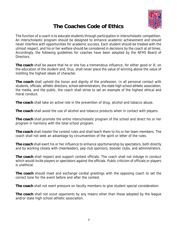

## **The Coaches Code of Ethics**

The function of a coach is to educate students through participation in interscholastic competition. An interscholastic program should be designed to enhance academic achievement and should never interfere with opportunities for academic success. Each student should be treated with the utmost respect, and his or her welfare should be considered in decisions by the coach at all times. Accordingly, the following guidelines for coaches have been adopted by the NFHS Board of Directors.

**The coach** shall be aware that he or she has a tremendous influence, for either good or ill, on the education of the student and, thus, shall never place the value of winning above the value of instilling the highest ideals of character.

**The coach** shall uphold the honor and dignity of the profession. In all personal contact with students, officials, athletic directors, school administrators, the state high school athletic association, the media, and the public, the coach shall strive to set an example of the highest ethical and moral conduct.

**The coach** shall take an active role in the prevention of drug, alcohol and tobacco abuse.

**The coach** shall avoid the use of alcohol and tobacco products when in contact with players.

**The coach** shall promote the entire interscholastic program of the school and direct his or her program in harmony with the total school program.

**The coach** shall master the contest rules and shall teach them to his or her team members. The coach shall not seek an advantage by circumvention of the spirit or letter of the rules.

**The coach** shall exert his or her influence to enhance sportsmanship by spectators, both directly and by working closely with cheerleaders, pep club sponsors, booster clubs, and administrators.

**The coach** shall respect and support contest officials. The coach shall not indulge in conduct which would incite players or spectators against the officials. Public criticism of officials or players is unethical.

**The coach** should meet and exchange cordial greetings with the opposing coach to set the correct tone for the event before and after the contest.

**The coach** shall not exert pressure on faculty members to give student special consideration.

**The coach** shall not scout opponents by any means other than those adopted by the league and/or state high school athletic association.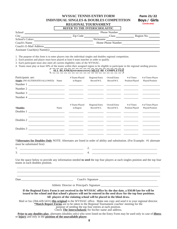#### **WVSSAC TENNIS ENTRY FORM INDIVIDUAL SINGLES & DOUBLES COMPETITION REGIONAL TOURNAMENT**

#### **REFER TO THE INTERSCHOLASTIC**

| School                      |          | <b>Phone Number</b> |            |
|-----------------------------|----------|---------------------|------------|
| City                        | Zip Code | Class               | Region No. |
| School's Colors             |          | Nickname            |            |
| Coach's Name                |          | Home Phone Number   |            |
| Coach's E-Mail Address      |          |                     |            |
| Assistant Coach(es) Name(s) |          |                     |            |

1. The purpose of this form is to enter players into the individual singles and doubles regional competition.

2. Each position and player must have played at least 6 team matches in order to qualify.

3. Each participant must also meet all current eligibility rules of the WVSSAC.

4. Teams must play at least 50% of the teams within their assigned region to be eligible to participate in the regional seeding process.

### ALL BLANKS(INFORMATION) **MUST BE COMPLETED**

| Participants are:<br><b>Singles</b> (NO ALTERNATES ALLOWED) Name<br>Number 2 |      | #Teams Played<br>in Region | <b>Regional Entry</b><br>Record W-L<br><u> The Common State Common State Common State Common State Common State Common State Common State Common State Common State Common State Common State Common State Common State Common State Common State Common State Common S</u> | Overall Entry<br>Record W-L | # of Times<br><b>Position Played</b> | # of Times Player<br>Played Position        |
|------------------------------------------------------------------------------|------|----------------------------|-----------------------------------------------------------------------------------------------------------------------------------------------------------------------------------------------------------------------------------------------------------------------------|-----------------------------|--------------------------------------|---------------------------------------------|
| *Doubles<br>Doubles 1                                                        | Name | #Teams Played<br>in Region | <b>Regional Entry</b><br>Record W-L                                                                                                                                                                                                                                         | Overall Entry<br>Record W-L | # of Times<br>Position Played        | # of Times Player<br><b>Played Position</b> |
| Doubles $2 \_$                                                               |      |                            |                                                                                                                                                                                                                                                                             |                             |                                      |                                             |
| Doubles 3<br><u> 1989 - Johann Stein, mars and de Barbara (b. 1989)</u>      |      |                            |                                                                                                                                                                                                                                                                             |                             |                                      |                                             |

**\*Alternates for Doubles Only** NOTE: Alternates are listed in order of ability and substitution. (For Example: #1 alternate must be substituted first)

| - |
|---|
|   |

\_\_\_\_\_\_\_\_\_\_\_\_\_\_\_\_\_\_\_\_\_\_\_\_\_\_\_\_\_\_\_\_\_\_\_\_\_\_\_\_\_\_\_\_\_\_\_\_\_\_\_\_\_\_\_\_\_\_\_\_\_\_\_\_\_\_\_\_\_\_\_\_\_\_\_\_\_\_\_\_\_\_\_\_\_\_\_\_\_\_

Use the space below to provide any information needed **to seed** the top four players at each singles position and the top four teams in each doubles position. \_\_\_\_\_\_\_\_\_\_\_\_\_\_\_\_\_\_\_\_\_\_\_\_\_\_\_\_\_\_\_\_\_\_\_\_\_\_\_\_\_\_\_\_\_\_\_\_\_\_\_\_\_\_\_\_\_\_\_\_\_\_\_\_\_\_\_\_\_\_\_\_\_\_\_\_\_\_\_\_\_\_\_\_\_\_\_\_\_\_\_\_\_\_\_\_\_\_\_

\_\_\_\_\_\_\_\_\_\_\_\_\_\_\_\_\_\_\_\_\_\_\_\_\_\_\_\_\_\_\_\_\_\_\_\_\_\_\_\_\_\_\_\_\_\_\_\_\_\_\_\_\_\_\_\_\_\_\_\_\_\_\_\_\_\_\_\_\_\_\_\_\_\_\_\_\_\_\_\_\_\_\_\_\_\_\_\_\_\_

Date\_\_\_\_\_\_\_\_\_\_\_\_\_\_\_\_\_\_\_\_\_\_\_\_\_\_\_\_\_\_\_\_\_\_\_\_ Coach's Signature \_\_\_\_\_\_\_\_\_\_\_\_\_\_\_\_\_\_\_\_\_\_\_\_\_\_\_\_\_\_\_\_\_\_\_\_\_\_\_\_

Athletic Director or Principal's Signature

**If the Regional Entry Form is not received in the WVSSAC office by the due date, a \$50.00 late fee will be issued to the school and that school's players will not be entered in the seed draw for the top four positions. All players of the violating school will be placed in the blind draw.**

Mail or fax (304-428-5431) **this original** to the WVSSAC office. Make one copy and send it to your regional director. **\*Match Report Forms** are to be taken to the Regional Tournament coaches' meeting for the

purpose of seeding the top four entries at each position.

Check **The Interscholastic** for his/her name and address.

 **Prior to any doubles play**, alternates (doubles only) who were listed on the Entry Form may be used only in case of **illness** or **injury** and only in the **position of the unavailable player**.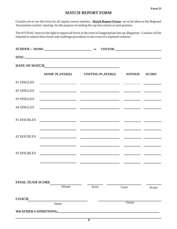#### **MATCH REPORT FORM**

Coaches are to use this form for all regular season matches. **Match Report Forms** are to be taken to the Regional Tournament coaches' meeting for the purpose of seeding the top four entries at each position.

The WVSSAC reserves the right to request all forms in the event of inappropriate line-up allegations. Coaches will be required to submit these forms and challenge procedures in the event of a reported violation.

|                            |        | HOME PLAYER(S) VISITING PLAYER(S) WINNER |                | <b>SCORE</b> |
|----------------------------|--------|------------------------------------------|----------------|--------------|
| #1 SINGLES                 |        |                                          |                |              |
| #2 SINGLES                 |        |                                          |                |              |
| #3 SINGLES                 |        |                                          |                |              |
| #4 SINGLES                 |        |                                          |                |              |
| #1 DOUBLES                 |        |                                          |                |              |
| #2 DOUBLES                 |        |                                          |                |              |
| #3 DOUBLES                 |        |                                          |                |              |
|                            |        |                                          |                |              |
| <b>FINAL TEAM SCORE</b>    |        |                                          |                |              |
|                            | Winner | Score                                    | Loser          | Score        |
| <b>COACH</b>               |        |                                          |                |              |
|                            | Home   |                                          | <b>Visitor</b> |              |
| <b>WEATHER CONDITIONS:</b> |        |                                          |                |              |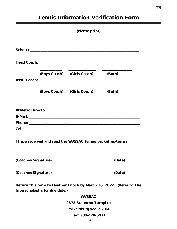## **Tennis Information Verification Form**

|                     |                                | (Boys Coach) (Girls Coach)                                   | (Both)                                                             |
|---------------------|--------------------------------|--------------------------------------------------------------|--------------------------------------------------------------------|
|                     |                                |                                                              |                                                                    |
|                     |                                | (Boys Coach) (Girls Coach)                                   | (Both)                                                             |
|                     |                                |                                                              |                                                                    |
|                     |                                |                                                              |                                                                    |
|                     |                                |                                                              |                                                                    |
|                     |                                |                                                              |                                                                    |
|                     |                                | I have received and read the WVSSAC tennis packet materials. |                                                                    |
| (Coaches Signature) |                                |                                                              | (Date)                                                             |
| (Coaches Signature) |                                |                                                              | (Date)                                                             |
|                     | Interscholastic for due date.) |                                                              | Return this form to Heather Enoch by March 16, 2022. (Refer to The |
|                     |                                | <b>WVSSAC</b>                                                |                                                                    |
|                     |                                | <b>2875 Staunton Turnpike</b>                                |                                                                    |
|                     |                                | Parkersburg WV 26104                                         |                                                                    |
|                     |                                | Fax: 304-428-5431                                            |                                                                    |

Ξ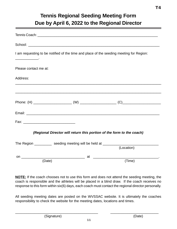## **Tennis Regional Seeding Meeting Form Due by April 6, 2022 to the Regional Director**

|                       |                                                                                   | I am requesting to be notified of the time and place of the seeding meeting for Region:         |
|-----------------------|-----------------------------------------------------------------------------------|-------------------------------------------------------------------------------------------------|
| Please contact me at: |                                                                                   |                                                                                                 |
| Address:              | ,我们也不能在这里的时候,我们也不能在这里的时候,我们也不能会在这里的时候,我们也不能会在这里的时候,我们也不能会在这里的时候,我们也不能会在这里的时候,我们也不 |                                                                                                 |
|                       |                                                                                   |                                                                                                 |
|                       |                                                                                   |                                                                                                 |
|                       |                                                                                   |                                                                                                 |
|                       |                                                                                   |                                                                                                 |
|                       |                                                                                   | (Regional Director will return this portion of the form to the coach)                           |
|                       |                                                                                   | The Region ____________ seeding meeting will be held at _________________________<br>(Location) |
|                       |                                                                                   |                                                                                                 |
| (Date)                |                                                                                   | (Time)                                                                                          |

**NOTE:** If the coach chooses not to use this form and does not attend the seeding meeting, the coach is responsible and the athletes will be placed in a blind draw. If the coach receives no response to this form within six(6) days, each coach must contact the regional director personally.

All seeding meeting dates are posted on the WVSSAC website. It is ultimately the coaches responsibility to check the website for the meeting dates, locations and times.

**T4**

\_\_\_\_\_\_\_\_\_\_\_\_\_\_\_\_\_\_\_\_\_\_\_\_\_\_\_\_\_\_\_\_\_\_\_\_\_\_\_\_\_\_\_ \_\_\_\_\_\_\_\_\_\_\_\_\_\_\_\_\_\_\_\_\_\_\_\_\_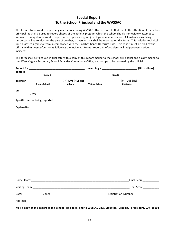#### **Special Report To the School Principal and the WVSSAC**

This form is to be used to report any matter concerning WVSSAC athletic contests that merits the attention of the school principal. It shall be used to report phases of the athletic program which the school should immediately attempt to improve. It may also be used to report an exceptionally good job of game administration. All instances involving unsportsmanlike conduct on the part of coaches, players or fans shall be reported on this form. This includes technical fouls assessed against a team in compliance with the Coaches Bench Decorum Rule. This report must be filed by the official within twenty-four hours following the incident. Prompt reporting of problems will help prevent serious incidents.

This form shall be filled out in triplicate with a copy of this report mailed to the school principal(s) and a copy mailed to the West Virginia Secondary School Activities Commission Office; and a copy to be retained by the official.

| contest             |                                 |                                                                                                                                                                                                                                |                   |         |                                      |
|---------------------|---------------------------------|--------------------------------------------------------------------------------------------------------------------------------------------------------------------------------------------------------------------------------|-------------------|---------|--------------------------------------|
|                     | (School)                        |                                                                                                                                                                                                                                |                   | (Sport) |                                      |
| between             |                                 | _(JH) (JV) (HS) and____                                                                                                                                                                                                        |                   |         | (JH) (JV) (HS)                       |
|                     | (Home School)                   | (Indicate)                                                                                                                                                                                                                     | (Visiting School) |         | (Indicate)                           |
| on                  |                                 |                                                                                                                                                                                                                                |                   |         |                                      |
|                     | (Date)                          |                                                                                                                                                                                                                                |                   |         |                                      |
|                     | Specific matter being reported: |                                                                                                                                                                                                                                |                   |         |                                      |
| <b>Explanation:</b> |                                 |                                                                                                                                                                                                                                |                   |         |                                      |
|                     |                                 |                                                                                                                                                                                                                                |                   |         |                                      |
|                     |                                 |                                                                                                                                                                                                                                |                   |         |                                      |
|                     |                                 |                                                                                                                                                                                                                                |                   |         |                                      |
|                     |                                 |                                                                                                                                                                                                                                |                   |         |                                      |
|                     |                                 |                                                                                                                                                                                                                                |                   |         |                                      |
|                     |                                 |                                                                                                                                                                                                                                |                   |         |                                      |
|                     |                                 |                                                                                                                                                                                                                                |                   |         |                                      |
|                     |                                 |                                                                                                                                                                                                                                |                   |         |                                      |
|                     |                                 |                                                                                                                                                                                                                                |                   |         |                                      |
|                     |                                 |                                                                                                                                                                                                                                |                   |         |                                      |
|                     |                                 |                                                                                                                                                                                                                                |                   |         |                                      |
|                     |                                 |                                                                                                                                                                                                                                |                   |         |                                      |
|                     |                                 |                                                                                                                                                                                                                                |                   |         |                                      |
|                     |                                 |                                                                                                                                                                                                                                |                   |         |                                      |
|                     |                                 |                                                                                                                                                                                                                                |                   |         | Final Score <b>Example</b>           |
|                     |                                 |                                                                                                                                                                                                                                |                   |         | Final Score <b>Communist Science</b> |
|                     |                                 | Date: Signed Signed Signed Signed Signed Signed Signed Signed Signed Signed Signed Signed Signed Signed Signed Signed Signed Signed Signed Signed Signed Signed Signed Signed Signed Signed Signed Signed Signed Signed Signed |                   |         | Registration Number                  |
| Address:            |                                 | <u> 1980 - Jan James James Bernard Bernard Bernard Bernard Bernard Bernard Bernard Bernard Bernard Bernard Bernard B</u>                                                                                                       |                   |         |                                      |
|                     |                                 |                                                                                                                                                                                                                                |                   |         |                                      |

**Mail a copy of this report to the School Principal(s) and to WVSSAC 2875 Staunton Turnpike, Parkersburg, WV 26104**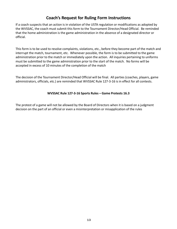## **Coach's Request for Ruling Form Instructions**

If a coach suspects that an action is in violation of the USTA regulation or modifications as adopted by the WVSSAC, the coach must submit this form to the Tournament Director/Head Official. Be reminded that the home administration is the game administration in the absence of a designated director or official.

This form is to be used to resolve complaints, violations, etc., before they become part of the match and interrupt the match, tournament, etc. Whenever possible, the form is to be submitted to the game administration prior to the match or immediately upon the action. All inquiries pertaining to uniforms must be submitted to the game administration prior to the start of the match. No forms will be accepted in excess of 10 minutes of the completion of the match

The decision of the Tournament Director/Head Official will be final. All parties (coaches, players, game administrators, officials, etc.) are reminded that WVSSAC Rule 127-3-16 is in effect for all contests.

#### **WVSSAC Rule 127-3-16 Sports Rules – Game Protests 16.3**

The protest of a game will not be allowed by the Board of Directors when it is based on a judgment decision on the part of an official or even a misinterpretation or misapplication of the rules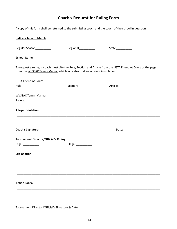## **Coach's Request for Ruling Form**

A copy of this form shall be returned to the submitting coach and the coach of the school in question.

| <b>Indicate type of Match</b>                                                 |                     |                                                                                                                |
|-------------------------------------------------------------------------------|---------------------|----------------------------------------------------------------------------------------------------------------|
| Regular Season<br><u>[</u> [11] Regular Season                                | Regional___________ | State__________                                                                                                |
|                                                                               |                     |                                                                                                                |
| from the WVSSAC Tennis Manual which indicates that an action is in violation. |                     | To request a ruling, a coach must cite the Rule, Section and Article from the USTA Friend At Court or the page |
| <b>USTA Friend At Court</b>                                                   |                     |                                                                                                                |
| Rule:___________                                                              | Section:___________ | Article:___________                                                                                            |
| <b>WVSSAC Tennis Manual</b><br>Page #:___________                             |                     |                                                                                                                |
| <b>Alleged Violation:</b>                                                     |                     |                                                                                                                |
|                                                                               |                     |                                                                                                                |
| <b>Tournament Director/Official's Ruling:</b>                                 |                     |                                                                                                                |
| Legal:__________                                                              | Illegal:___________ |                                                                                                                |
| <b>Explanation:</b>                                                           |                     |                                                                                                                |
|                                                                               |                     |                                                                                                                |
|                                                                               |                     |                                                                                                                |
|                                                                               |                     |                                                                                                                |
| <b>Action Taken:</b>                                                          |                     |                                                                                                                |
|                                                                               |                     |                                                                                                                |
|                                                                               |                     |                                                                                                                |
| Tournament Director/Official's Signature & Date:                              |                     |                                                                                                                |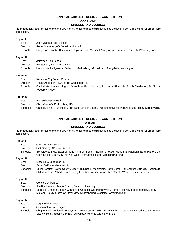#### **TENNIS ALIGNMENT – REGIONAL COMPETITION AAA TEAMS SINGLES AND DOUBLES**

\*Tournament Directors shall refer to the Director's Manual for responsibilities and to the Entry Form Book online for proper form completion.

#### **Region I**

| Site:     | John Marshall High School                                                                            |
|-----------|------------------------------------------------------------------------------------------------------|
| Director: | Roger Simmons, AD, John Marshall HS                                                                  |
| Schools:  | Bridgeport, Brooke, Buckhannon-Upshur, John Marshall, Morgantown, Preston, University, Wheeling Park |

#### **Region II**

| Site:     | Jefferson High School                                                               |
|-----------|-------------------------------------------------------------------------------------|
| Director: | Bill Stewart, AD, Jefferson HS                                                      |
| Schools:  | Hampshire, Hedgesville, Jefferson, Martinsburg, Musselman, Spring Mills, Washington |

#### **Region III**

| Site:     | Kanawha City Tennis Courts                                                                                                   |  |  |  |
|-----------|------------------------------------------------------------------------------------------------------------------------------|--|--|--|
| Director: | Tiffany Anderson, AD, George Washington HS                                                                                   |  |  |  |
| Schools:  | Capital, George Washington, Greenbrier East, Oak Hill, Princeton, Riverside, South Charleston, St. Albans,<br>Woodrow Wilson |  |  |  |

#### **Region IV**

| Site:     | Parkersburg City Park                                                                                        |
|-----------|--------------------------------------------------------------------------------------------------------------|
| Director: | Chris Way, AD, Parkersburg HS                                                                                |
| Schools:  | Cabell Midland, Huntington, Hurricane, Lincoln County, Parkersburg, Parkersburg South, Ripley, Spring Valley |

#### **TENNIS ALIGNMENT – REGIONAL COMPETITION AA–A TEAMS**

#### **SINGLES AND DOUBLES**

\*Tournament Directors shall refer to the Director's Manual for responsibilities and to the Entry Form Book online for proper form completion.

#### **Region I**

| Site:             | Oak Glen High School                                                                                                                                                                                               |
|-------------------|--------------------------------------------------------------------------------------------------------------------------------------------------------------------------------------------------------------------|
| Director:         | Dick Shilling, AD, Oak Glen HS                                                                                                                                                                                     |
| Schools:          | Berkeley Springs, East Fairmont, Fairmont Senior, Frankfort, Keyser, Madonna, Magnolia, North Marion, Oak<br>Glen, Ritchie County, St. Mary's, Weir, Tyler Consolidated, Wheeling Central                          |
| <b>Region II</b>  |                                                                                                                                                                                                                    |
| Site:             | Lincoln HS/Bridgeport HS                                                                                                                                                                                           |
| Director:         | Sarah DePiano, Grafton HS                                                                                                                                                                                          |
| Schools:          | Elkins, Grafton, Lewis County, Liberty H, Lincoln, Moorefield, Notre Dame, Parkersburg Catholic, Petersburg,<br>Philip Barbour, Robert C Byrd, Trinity Christian, Williamstown, Wirt County, Wood County Christian |
| <b>Region III</b> |                                                                                                                                                                                                                    |
| Site:             | <b>Concord University</b>                                                                                                                                                                                          |
| Director:         | Joe Blankenship, Tennis Coach, Concord University                                                                                                                                                                  |

| Schools: | Bluefield, Braxton County, Charleston Catholic, Greenbrier West, Herbert Hoover, Independence, Liberty (R), |
|----------|-------------------------------------------------------------------------------------------------------------|
|          | Midland Trail, Mount View, River View, Shady Spring, Westside, Wyoming East                                 |

#### **Region IV**

| Site:     | Logan High School                                                                                          |
|-----------|------------------------------------------------------------------------------------------------------------|
| Director: | Susan Adkins, AD, Logan HS                                                                                 |
| Schools:  | Chapmanville Regional, Logan, Man, Mingo Central, Point Pleasant, Nitro, Poca, Ravenswood, Scott, Sherman, |
|           | Sissonville, St. Joseph Central, Tug Valley, Wahama, Wayne, Winfield                                       |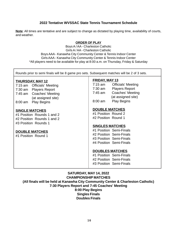#### **2022 Tentative WVSSAC State Tennis Tournament Schedule**

**Note**: All times are tentative and are subject to change as dictated by playing time, availability of courts, and weather.

#### **ORDER OF PLAY**

Boys A / AA - Charleston Catholic Girls A / AA - Charleston Catholic Boys AAA - Kanawha City Community Center & Tennis Indoor Center Girls AAA - Kanawha City Community Center & Tennis Indoor Center \*All players need to be available for play at 8:00 a.m. on Thursday, Friday & Saturday

┯

Rounds prior to semi finals will be 8 game pro sets. Subsequent matches will be 2 of 3 sets.

| <b>THURSDAY, MAY 12</b><br>7:15 am Officials' Meeting<br>7:30 am Players Report<br>7:45 am Coaches' Meeting<br>(at assigned site)<br><b>Play Begins</b><br>8:00 am | <b>FRIDAY, MAY 13</b><br>7:15 am<br><b>Officials' Meeting</b><br><b>Players Report</b><br>7:30 am<br>Coaches' Meeting<br>7:45 am<br>(at assigned site)<br><b>Play Begins</b><br>8:00 am                                                                                                                              |
|--------------------------------------------------------------------------------------------------------------------------------------------------------------------|----------------------------------------------------------------------------------------------------------------------------------------------------------------------------------------------------------------------------------------------------------------------------------------------------------------------|
| <b>SINGLE MATCHES</b><br>#1 Position Rounds 1 and 2<br>#2 Position Rounds 1 and 2<br>#3 Position Rounds 1<br><b>DOUBLE MATCHES</b><br>#1 Position Round 1          | <b>DOUBLE MATCHES</b><br>#1 Position Round 2<br>#2 Position Round 1<br><b>SINGLES MATCHES</b><br>#1 Position Semi-Finals<br>#2 Position Semi-Finals<br>#3 Position Semi-Finals<br>#4 Position Semi-Finals<br><b>DOUBLES MATCHES</b><br>#1 Position Semi-Finals<br>#2 Position Semi-Finals<br>#3 Position Semi-Finals |

#### **SATURDAY, MAY 14, 2022 CHAMPIONSHIP MATCHES (All finals will be held at Kanawha City Community Center & Charleston Catholic) 7:30 Players Report and 7:45 Coaches' Meeting 8:00 Play Begins Singles Finals Doubles Finals**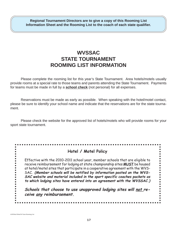**Regional Tournament Directors are to give a copy of this Rooming List Information Sheet and the Rooming List to the coach of each state qualifier.**

## **WVSSAC STATE TOURNAMENT ROOMING LIST INFORMATION**

Please complete the rooming list for this year's State Tournament. Area hotels/motels usually provide rooms at a special rate to those teams and parents attending the State Tournament. Payments for teams must be made in full by a **school check** (not personal) for all expenses.

Reservations must be made as early as possible. When speaking with the hotel/motel contact, please be sure to identify your school name and indicate that the reservations are for the state tournament.

Please check the website for the approved list of hotels/motels who will provide rooms for your sport state tournament.

| Hotel / Motel Policy                                                                                                                                                                                                                                                                                                                                                                                                                                                                |
|-------------------------------------------------------------------------------------------------------------------------------------------------------------------------------------------------------------------------------------------------------------------------------------------------------------------------------------------------------------------------------------------------------------------------------------------------------------------------------------|
| Effective with the 2010-2011 school year, member schools that are eligible to<br>receive reimbursement for lodging at state championship sites MUST be housed<br>at hotel/motel sites that participate in a cooperative agreement with the WVS-<br>SAC. (Member schools will be notified by information posted on the WVS-<br>SAC website and material included in the sport specific coaches packets as<br>to which lodging sites have entered into an agreement with the WVSSAC.) |
| Schools that choose to use unapproved lodging sites will not re-<br>ceive any reimbursement.                                                                                                                                                                                                                                                                                                                                                                                        |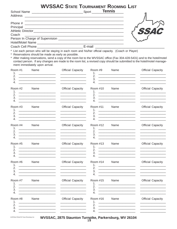## **WVSSAC STATE TOURNAMENT ROOMING LIST**

|                  | Sport  | <b>Tennis</b> |  |
|------------------|--------|---------------|--|
|                  |        |               |  |
|                  |        |               |  |
|                  |        |               |  |
|                  |        |               |  |
|                  |        |               |  |
|                  |        |               |  |
| Coach            |        |               |  |
|                  |        |               |  |
|                  |        |               |  |
| Coach Cell Phone | E-mail |               |  |

\* List each person who will be staying in each room and his/her official capacity. (Coach or Player)

\* Reservations should be made as early as possible.

\* After making reservations, send a copy of the room list to the WVSSAC office (Fax 304-428-5431) and to the hotel/motel contact person. If any changes are made to the room list, a revised copy should be submitted to the hotel/motel management immediately upon arrival.

| Room #1<br>1.<br>2.<br>3.<br>4.      | Name                                                                                                                                                                                           | <b>Official Capacity</b><br><u> 1999 - Johann Barn, mars and de Branch Barn, mars and de Branch Barn, mars and de Branch Barn, mars and de Br</u>                                                                    | Room #9<br>Name<br>1.<br>2.<br>3.<br><u> La componenta de la componenta de la componenta de la componenta de la componenta de la componenta de la comp</u><br>4.                                                                                                                                                                                                                                                                                                                                                                                                               | <b>Official Capacity</b> |
|--------------------------------------|------------------------------------------------------------------------------------------------------------------------------------------------------------------------------------------------|----------------------------------------------------------------------------------------------------------------------------------------------------------------------------------------------------------------------|--------------------------------------------------------------------------------------------------------------------------------------------------------------------------------------------------------------------------------------------------------------------------------------------------------------------------------------------------------------------------------------------------------------------------------------------------------------------------------------------------------------------------------------------------------------------------------|--------------------------|
| Room #2 Name<br>1.<br>2.<br>3.<br>4. | <u> 1989 - Johann John Stone, mars eta biztanleria (</u>                                                                                                                                       | <b>Official Capacity</b>                                                                                                                                                                                             | Room #10 Name<br>1.<br>2.<br><u> 1980 - Jan Barbara Barbara, manazarta per</u><br>4.                                                                                                                                                                                                                                                                                                                                                                                                                                                                                           | <b>Official Capacity</b> |
| Room #3<br>1.<br>2.<br>3.<br>4.      | Name<br><u> 1989 - Johann Barn, margaret eta idazlea (</u>                                                                                                                                     | <b>Official Capacity</b>                                                                                                                                                                                             | Room #11<br>Name<br>1.<br>2.<br>3.<br>4.                                                                                                                                                                                                                                                                                                                                                                                                                                                                                                                                       | <b>Official Capacity</b> |
| Room #4<br>1.<br>2.<br>3.<br>4.      | Name                                                                                                                                                                                           | <b>Official Capacity</b><br><u> 1999 - Johann Harry Harry Harry Harry Harry Harry Harry Harry Harry Harry Harry Harry Harry Harry Harry Harry</u><br><u> 1980 - Johann John Harry Barnett, fransk politik (d. 19</u> | Room #12 Name<br>1.<br>2.<br>3.<br><u> 2002 - Jan James James Barnett, amerikansk politik (</u><br>4.                                                                                                                                                                                                                                                                                                                                                                                                                                                                          | <b>Official Capacity</b> |
| Room #5 Name<br>1.<br>2.<br>3.<br>4. | <u> 2002 - Jan Samuel Barbara, margaret e</u> n 1950<br><u> 1980 - Johann Barn, mars ann an t-Amhair ann an t-A</u>                                                                            | <b>Official Capacity</b><br><u> Alexandro Alexandro Alexandro Alexandro Alexandro Alexandro Alexandro Alexandro Alexandro Alexandro Alexandro A</u><br><u> 1989 - Jan James James Barbara, politik eta politikar</u> | Room #13 Name<br>1.<br>2.<br><u> 1980 - Andrea Andrews, amerikansk politik (</u><br>3.<br><u> 1980 - Johann John Stone, mars eta biztanleria (</u><br>4.                                                                                                                                                                                                                                                                                                                                                                                                                       | <b>Official Capacity</b> |
| Room #6<br>1.<br>2.<br>3.<br>4.      | Name<br><u> 2002 - Jan James James Barnett, mengang pada pada 2003 - pada 2003 - pada 2003 - pada 2003 - pada 2003 - pada</u><br><u> 2002 - Jan James James Barnett, filosof eta idazlea (</u> | <b>Official Capacity</b><br><u> Listen von de Stadt von de Stadt von de Stadt von de Stadt von de Stadt von de Stadt von de Stadt von de Stadt vo</u>                                                                | Room #14<br>Name<br>1.<br><u> Territoria de la contenentación de la contenentación de la contenentación de la contenentación de la contenentación de la contenentación de la contenentación de la contenentación de la contenentación de la contenentación</u><br>2.<br>3.<br><u> 1980 - Jan James James Barnett, fransk politik (d. 1980)</u><br>4.                                                                                                                                                                                                                           | <b>Official Capacity</b> |
| Room #7<br>1.<br>2.<br>3.<br>4.      | Name<br><u> Alexandro de la contrada de la contrada de la contrada de la contrada de la contrada de la contrada de la co</u><br><u> 2002 - Jan James James Barnett, filozof eta idazlea (</u>  | <b>Official Capacity</b><br><u> 1990 - Johann Barn, mars and de Branch Barn, mars and de Branch Barn, mars and de Branch Barn, mars and de Br</u>                                                                    | Room #15<br>Name<br>1.<br><u> Alexandro de la contenentación de la contenentación de la contenentación de la contenentación de la contenentación de la contenentación de la contenentación de la contenentación de la contenentación de la contenentación </u><br>2.<br><u> 1980 - Johann John Stein, fransk politik (</u><br>3.<br><u> 1999 - Johann Harry Harry Harry Harry Harry Harry Harry Harry Harry Harry Harry Harry Harry Harry Harry Harry Harry Harry Harry Harry Harry Harry Harry Harry Harry Harry Harry Harry Harry Harry Harry Harry Harry Harry Ha</u><br>4. | <b>Official Capacity</b> |
| Room #8<br>1.<br>2.<br>3.<br>4.      | Name                                                                                                                                                                                           | <b>Official Capacity</b>                                                                                                                                                                                             | Room #16 Name<br>1.<br>2.<br>3.<br>4.                                                                                                                                                                                                                                                                                                                                                                                                                                                                                                                                          | <b>Official Capacity</b> |

rk/H/Hotel Motel/St Tourn Rooming List

WVSSAC, 2875 Staunton Turnpike, Parkersburg, WV 26104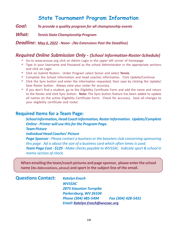## **State Tournament Program Information**

- *Goal: To provide a quality program for all championship events*
- *What: Tennis State Championship Program*

*Deadline: May 6, 2022 - Noon - (No Extensions Past the Deadline)*

#### *Required Online Submission Only - (School Information-Roster-Schedule)*

- Go to www.wvssac.org click on Admin Login in the upper left corner of homepage
- $\blacktriangledown$  Type in your Username and Password as the school Administrator in the appropriate sections and click on Login
- a Click on Submit Rosters. Under Program select Senior and select **Tennis**
- $\triangledown$  Complete the School Information and head coaches information. Click Update/Continue
- $\vee$  Click the Sync button and enter the information requested, then save by clicking the Update/ Save Roster button. Always view your roster for accuracy.
- $\vee$  If you don't find a student, go to the Eligibility Certificate Form and add the name and return to the Roster and click Sync button. **Note:** The Sync button feature has been added to update all names on the active Eligibility Certificate Form. Check for accuracy. Save all changes to your eligibility certificate and roster.

#### **Required Items for a Team Page:**

*School Information, Head Coach Information, Roster Information. Update/Complete Online - Printer will use this for the Program Page.*

*Team Picture*

*Individual Head Coaches' Picture*

*Page Sponsor - Please contact a business or the boosters club concerning sponsoring this page. Ad is about the size of a business card which often times is used. Team Page Cost - \$125 - Make checks payable to WVSSAC. Indicate sport & school in memo section of check.*

**When emailing the team/coach pictures and page sponsor, please enter the school name (***No Abbreviations, please***) and sport in the subject line of the email.**

| <b>Questions Contact:</b> | <b>Katelyn Enoch</b>            |                    |
|---------------------------|---------------------------------|--------------------|
|                           | <b>WVSSAC</b>                   |                    |
|                           | <b>2875 Staunton Turnpike</b>   |                    |
|                           | Parkersburg, WV 26104           |                    |
|                           | Phone (304) 485-5494            | Fax (304) 428-5431 |
|                           | Email: Katelyn.Enoch@wvssac.org |                    |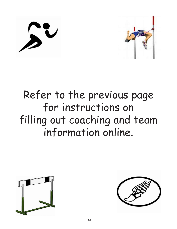

## Refer to the previous page for instructions on filling out coaching and team information online.



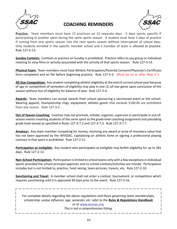

## **COACHING REMINDERS**



**Practice:** Team members must have 12 practices on 12 separate days - 5 days sports specific if participating in another sport during the same sports season. A student must have 5 days of practice if coming from one sports season into the next sports season without interruption of school days. Only students enrolled in the specific member school and a member of team is allowed to practice. Rule 127-2-13.

**Sunday Contests:** Contests or practice on Sunday is prohibited. Practice refers to any group or individual meeting to view films or activity associated with the activity of that sports season. Rule 127-3-14.

**Physical Exam:** Team members must have Athletic Participation/Parental Consent/Physician's Certificate form completed and on file before beginning practice. Rule 127-3-3. (Must be on or after May  $1^{st}$ )

**All-Star Competition:** Any student completing athletic eligibility at the end of current school year because of age or competition of semesters of eligibility may play in one (1) all-star game upon conclusion of the season without loss of eligibility for balance of year. Rule 127-3-4.

**Awards:** Team members can accept awards from school sponsoring a sanctioned event or the school. Wearing apparel, championship rings, equipment, athletic goods that exceeds \$100.00 are prohibited from any source. Rule 127-3-5.

**Out of Season Coaching:** Coaches may not promote, initiate, organize, supervise or participate in out-ofseason events involving students of the same sport as the grade level coaching assignment and preceding grade level except as specified in Rules 127-3-7.2 and 127-3-7.3. Rule 127-3-7.7.

**Amateur:** Any team member competing for money, receiving any award or prize of monetary value that has not been approved by the WVSSAC, capitalizing on athletic fame or signing a professional playing contract in that sport is prohibited. Rule 127-2-11.

**Participation as Ineligible:** Any student who participates as ineligible may forfeit eligibility for up to 365 days. Rule 127-2-12.

**Non-School Participation:** Participation is limited to school teams only with a few exceptions in individual sports provided the school principal approves and no school contests/activities are missed. Participation includes but is not limited to, practice, fund raising, team pictures, tryouts, etc. Rule 127-2-10.

**Sanctioning and Travel:** A member school shall not enter a contest, tournament, or competition which requires sanctioning until it is approved 30 days prior to the event. Rule 127-3-16.

For complete details rega*rding the above regulations and those governing team memberships, scholarship, undue influence, age, semester, etc. refer to the Rules & Regulations Handbook or at www.wvssac.org.*

*This is not a comprehensive listing.*